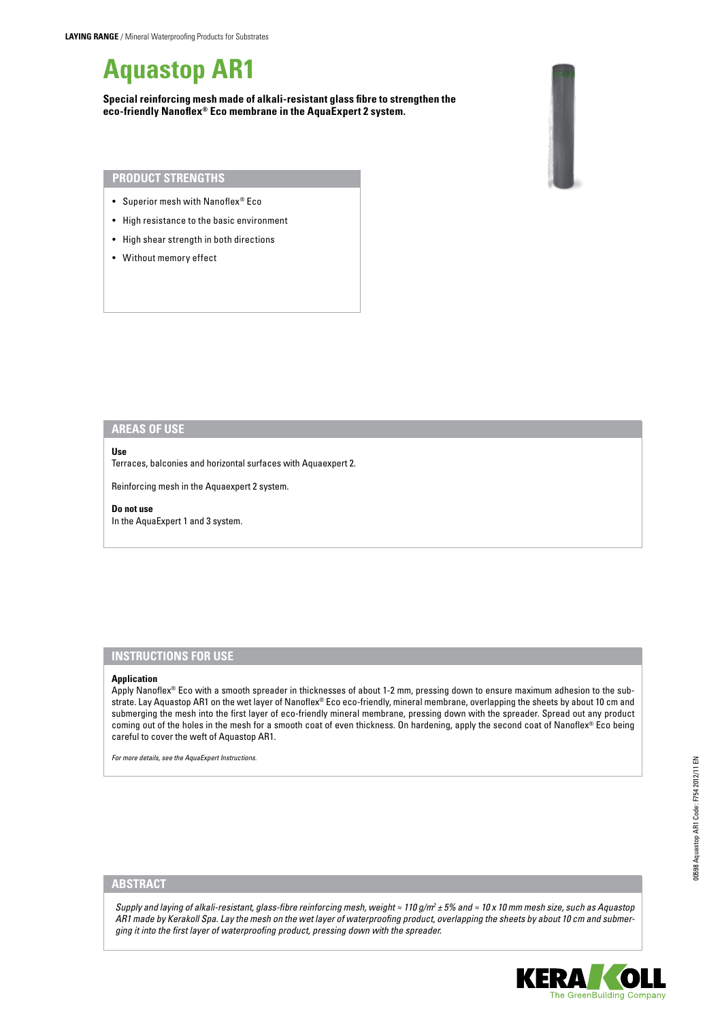# **Aquastop AR1**

**Special reinforcing mesh made of alkali-resistant glass fibre to strengthen the eco-friendly Nanoflex® Eco membrane in the AquaExpert 2 system.**



### **Product Strengths**

- • Superior mesh with Nanoflex® Eco
- High resistance to the basic environment
- • High shear strength in both directions
- Without memory effect

# **areas of use**

#### **Use**

Terraces, balconies and horizontal surfaces with Aquaexpert 2.

Reinforcing mesh in the Aquaexpert 2 system.

#### **Do not use**

In the AquaExpert 1 and 3 system.

## **Instructions for use**

#### **Application**

Apply Nanoflex® Eco with a smooth spreader in thicknesses of about 1-2 mm, pressing down to ensure maximum adhesion to the substrate. Lay Aquastop AR1 on the wet layer of Nanoflex® Eco eco-friendly, mineral membrane, overlapping the sheets by about 10 cm and submerging the mesh into the first layer of eco-friendly mineral membrane, pressing down with the spreader. Spread out any product coming out of the holes in the mesh for a smooth coat of even thickness. On hardening, apply the second coat of Nanoflex® Eco being careful to cover the weft of Aquastop AR1.

*For more details, see the AquaExpert Instructions.* 

# **ABSTRACT**

*Supply and laying of alkali-resistant, glass-fibre reinforcing mesh, weight ≈ 110 g/m2 ± 5% and ≈ 10 x 10 mm mesh size, such as Aquastop AR1 made by Kerakoll Spa. Lay the mesh on the wet layer of waterproofing product, overlapping the sheets by about 10 cm and submerging it into the first layer of waterproofing product, pressing down with the spreader.*